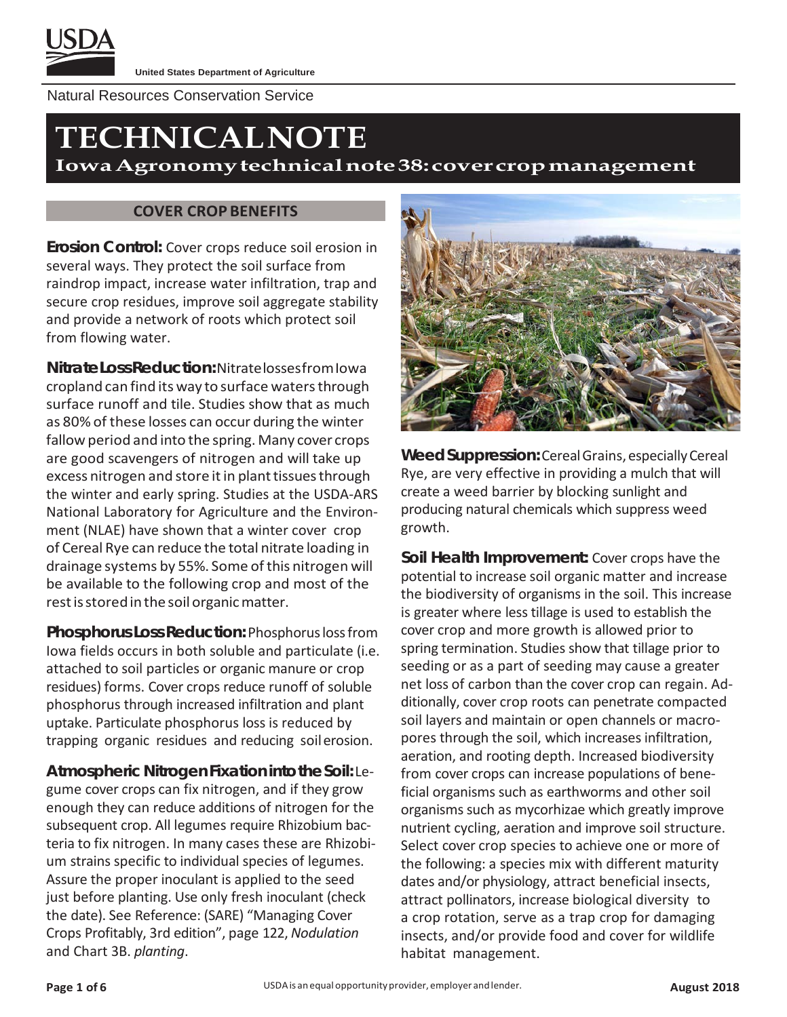

Natural Resources Conservation Service

# **TECHNICALNOTE**

**IowaAgronomytechnicalnote38:covercropmanagement**

#### **COVER CROP BENEFITS**

**Erosion Control:** Cover crops reduce soil erosion in several ways. They protect the soil surface from raindrop impact, increase water infiltration, trap and secure crop residues, improve soil aggregate stability and provide a network of roots which protect soil from flowing water.

**NitrateLossReduction:**NitratelossesfromIowa cropland can find its way to surface waters through surface runoff and tile. Studies show that as much as 80% of these losses can occur during the winter fallow period and into the spring. Many cover crops are good scavengers of nitrogen and will take up excess nitrogen and store it in plant tissues through the winter and early spring. Studies at the USDA-ARS National Laboratory for Agriculture and the Environment (NLAE) have shown that a winter cover crop of Cereal Rye can reduce the total nitrate loading in drainage systems by 55%. Some of this nitrogen will be available to the following crop and most of the rest is stored in the soil organic matter.

**Phosphorus LossReduction:** Phosphoruslossfrom Iowa fields occurs in both soluble and particulate (i.e. attached to soil particles or organic manure or crop residues) forms. Cover crops reduce runoff of soluble phosphorus through increased infiltration and plant uptake. Particulate phosphorus loss is reduced by trapping organic residues and reducing soilerosion.

**AtmosphericNitrogenFixationintotheSoil:** Legume cover crops can fix nitrogen, and if they grow enough they can reduce additions of nitrogen for the subsequent crop. All legumes require Rhizobium bacteria to fix nitrogen. In many cases these are Rhizobium strains specific to individual species of legumes. Assure the proper inoculant is applied to the seed just before planting. Use only fresh inoculant (check the date). See Reference: (SARE) "Managing Cover Crops Profitably, 3rd edition", page 122, *Nodulation*  and Chart 3B. *planting*.



**WeedSuppression:**CerealGrains, especiallyCereal Rye, are very effective in providing a mulch that will create a weed barrier by blocking sunlight and producing natural chemicals which suppress weed growth.

**Soil Health Improvement:** Cover crops have the potential to increase soil organic matter and increase the biodiversity of organisms in the soil. This increase is greater where less tillage is used to establish the cover crop and more growth is allowed prior to spring termination. Studies show that tillage prior to seeding or as a part of seeding may cause a greater net loss of carbon than the cover crop can regain. Additionally, cover crop roots can penetrate compacted soil layers and maintain or open channels or macropores through the soil, which increases infiltration, aeration, and rooting depth. Increased biodiversity from cover crops can increase populations of beneficial organisms such as earthworms and other soil organisms such as mycorhizae which greatly improve nutrient cycling, aeration and improve soil structure. Select cover crop species to achieve one or more of the following: a species mix with different maturity dates and/or physiology, attract beneficial insects, attract pollinators, increase biological diversity to a crop rotation, serve as a trap crop for damaging insects, and/or provide food and cover for wildlife habitat management.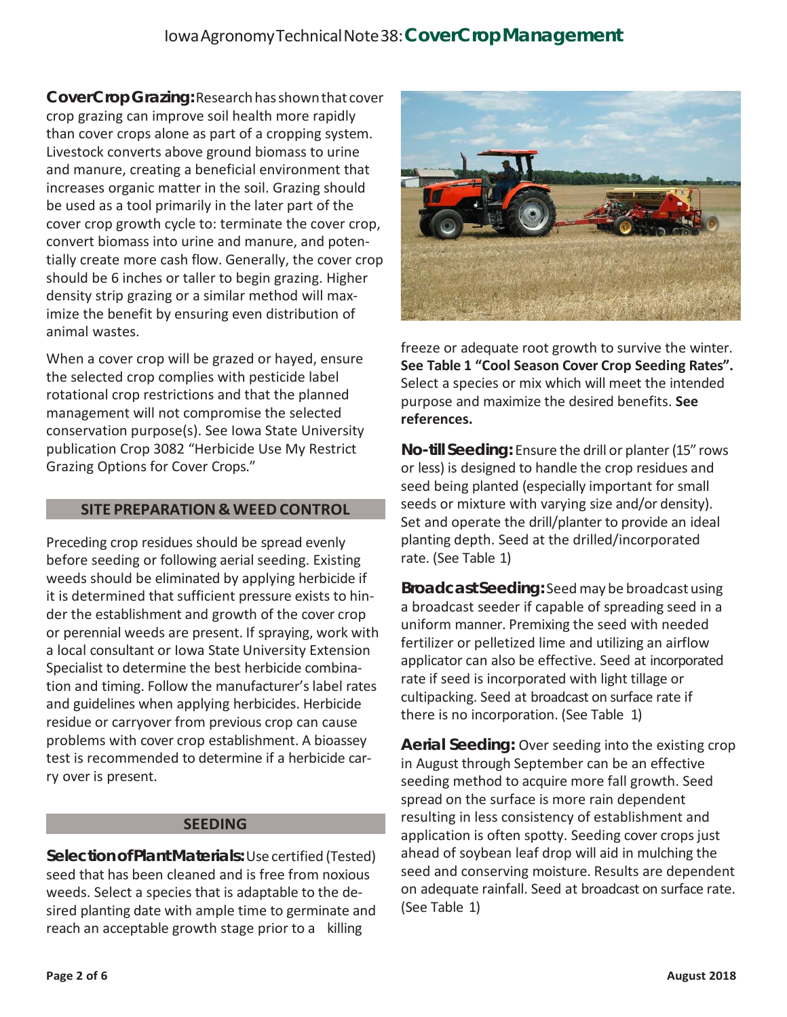# IowaAgronomyTechnicalNote38:**CoverCropManagement**

**CoverCropGrazing:**Researchhasshownthat cover crop grazing can improve soil health more rapidly than cover crops alone as part of a cropping system. Livestock converts above ground biomass to urine and manure, creating a beneficial environment that increases organic matter in the soil. Grazing should be used as a tool primarily in the later part of the cover crop growth cycle to: terminate the cover crop, convert biomass into urine and manure, and potentially create more cash flow. Generally, the cover crop should be 6 inches or taller to begin grazing. Higher density strip grazing or a similar method will maximize the benefit by ensuring even distribution of animal wastes.

When a cover crop will be grazed or hayed, ensure the selected crop complies with pesticide label rotational crop restrictions and that the planned management will not compromise the selected conservation purpose(s). See Iowa State University publication Crop 3082 "Herbicide Use My Restrict Grazing Options for Cover Crops."

#### **SITE PREPARATION & WEED CONTROL**

Preceding crop residues should be spread evenly before seeding or following aerial seeding. Existing weeds should be eliminated by applying herbicide if it is determined that sufficient pressure exists to hinder the establishment and growth of the cover crop or perennial weeds are present. If spraying, work with a local consultant or Iowa State University Extension Specialist to determine the best herbicide combination and timing. Follow the manufacturer's label rates and guidelines when applying herbicides. Herbicide residue or carryover from previous crop can cause problems with cover crop establishment. A bioassey test is recommended to determine if a herbicide carry over is present.

#### **SEEDING**

**SelectionofPlantMaterials:**Use certified (Tested) seed that has been cleaned and is free from noxious weeds. Select a species that is adaptable to the desired planting date with ample time to germinate and reach an acceptable growth stage prior to a killing



freeze or adequate root growth to survive the winter. **See Table 1 "Cool Season Cover Crop Seeding Rates".**  Select a species or mix which will meet the intended purpose and maximize the desired benefits. **See references.**

**No-till Seeding:** Ensure the drill or planter(15" rows or less) is designed to handle the crop residues and seed being planted (especially important for small seeds or mixture with varying size and/or density). Set and operate the drill/planter to provide an ideal planting depth. Seed at the drilled/incorporated rate. (See Table 1)

**Broadcast Seeding:** Seedmay be broadcast using a broadcast seeder if capable of spreading seed in a uniform manner. Premixing the seed with needed fertilizer or pelletized lime and utilizing an airflow applicator can also be effective. Seed at incorporated rate if seed is incorporated with light tillage or cultipacking. Seed at broadcast on surface rate if there is no incorporation. (See Table 1)

**Aerial Seeding:** Over seeding into the existing crop in August through September can be an effective seeding method to acquire more fall growth. Seed spread on the surface is more rain dependent resulting in less consistency of establishment and application is often spotty. Seeding cover crops just ahead of soybean leaf drop will aid in mulching the seed and conserving moisture. Results are dependent on adequate rainfall. Seed at broadcast on surface rate. (See Table 1)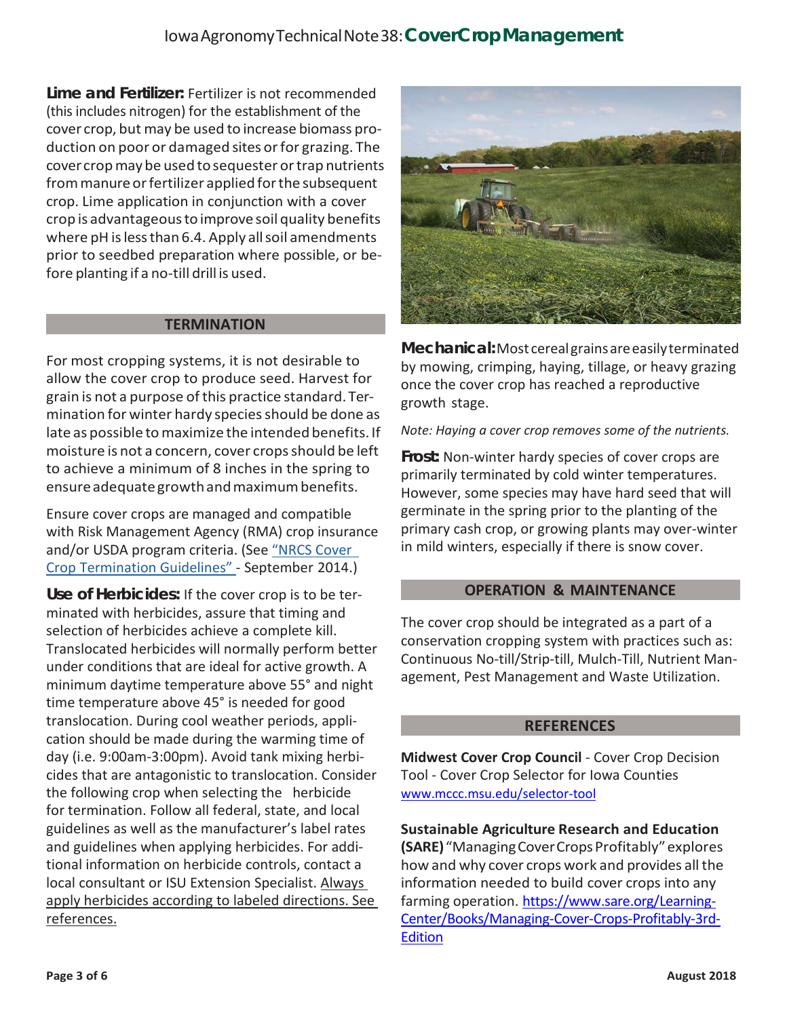# IowaAgronomyTechnicalNote38:**CoverCropManagement**

**Lime and Fertilizer:** Fertilizer is not recommended (this includes nitrogen) for the establishment of the cover crop, but may be used to increase biomass production on poor or damaged sites or for grazing. The cover cropmay be used tosequester ortrap nutrients from manure or fertilizer applied for the subsequent crop. Lime application in conjunction with a cover crop is advantageoustoimprove soil quality benefits where pH is less than 6.4. Apply all soil amendments prior to seedbed preparation where possible, or before planting if a no-till drill is used.

#### **TERMINATION**

For most cropping systems, it is not desirable to allow the cover crop to produce seed. Harvest for grain is not a purpose ofthis practice standard. Termination for winter hardy species should be done as late as possible to maximize the intended benefits. If moisture is not a concern, cover crops should be left to achieve a minimum of 8 inches in the spring to ensure adequate growth and maximum benefits.

Ensure cover crops are managed and compatible with Risk Management Agency (RMA) crop insurance and/or USDA program criteria. (See "NRCS Cover Crop Termination Guidelines" - September 2014.)

**Use of Herbicides:** If the cover crop is to be terminated with herbicides, assure that timing and selection of herbicides achieve a complete kill. Translocated herbicides will normally perform better under conditions that are ideal for active growth. A minimum daytime temperature above 55° and night time temperature above 45° is needed for good translocation. During cool weather periods, application should be made during the warming time of day (i.e. 9:00am-3:00pm). Avoid tank mixing herbicides that are antagonistic to translocation. Consider the following crop when selecting the herbicide for termination. Follow all federal, state, and local guidelines as well as the manufacturer's label rates and guidelines when applying herbicides. For additional information on herbicide controls, contact a local consultant or ISU Extension Specialist. Always apply herbicides according to labeled directions. See references.



**Mechanical:**Most cerealgrainsareeasilyterminated by mowing, crimping, haying, tillage, or heavy grazing once the cover crop has reached a reproductive growth stage.

*Note: Haying a cover crop removes some of the nutrients.*

**Frost:** Non-winter hardy species of cover crops are primarily terminated by cold winter temperatures. However, some species may have hard seed that will germinate in the spring prior to the planting of the primary cash crop, or growing plants may over-winter in mild winters, especially if there is snow cover.

#### **OPERATION & MAINTENANCE**

The cover crop should be integrated as a part of a conservation cropping system with practices such as: Continuous No-till/Strip-till, Mulch-Till, Nutrient Management, Pest Management and Waste Utilization.

#### **REFERENCES**

**Midwest Cover Crop Council** - Cover Crop Decision Tool - Cover Crop Selector for Iowa Counties [www.mccc.msu.edu/selector-tool](http://www.mccc.msu.edu/selector-tool)

**Sustainable Agriculture Research and Education (SARE)**"ManagingCoverCropsProfitably"explores how and why cover crops work and provides all the information needed to build cover crops into any farming operation. [https://www.sare.org/Learning-](https://www.sare.org/Learning-Center/Books/Managing-Cover-Crops-Profitably-3rd-Edition)[Center/Books/Managing-Cover-Crops-Profitably-3rd-](https://www.sare.org/Learning-Center/Books/Managing-Cover-Crops-Profitably-3rd-Edition)**[Edition](https://www.sare.org/Learning-Center/Books/Managing-Cover-Crops-Profitably-3rd-Edition)**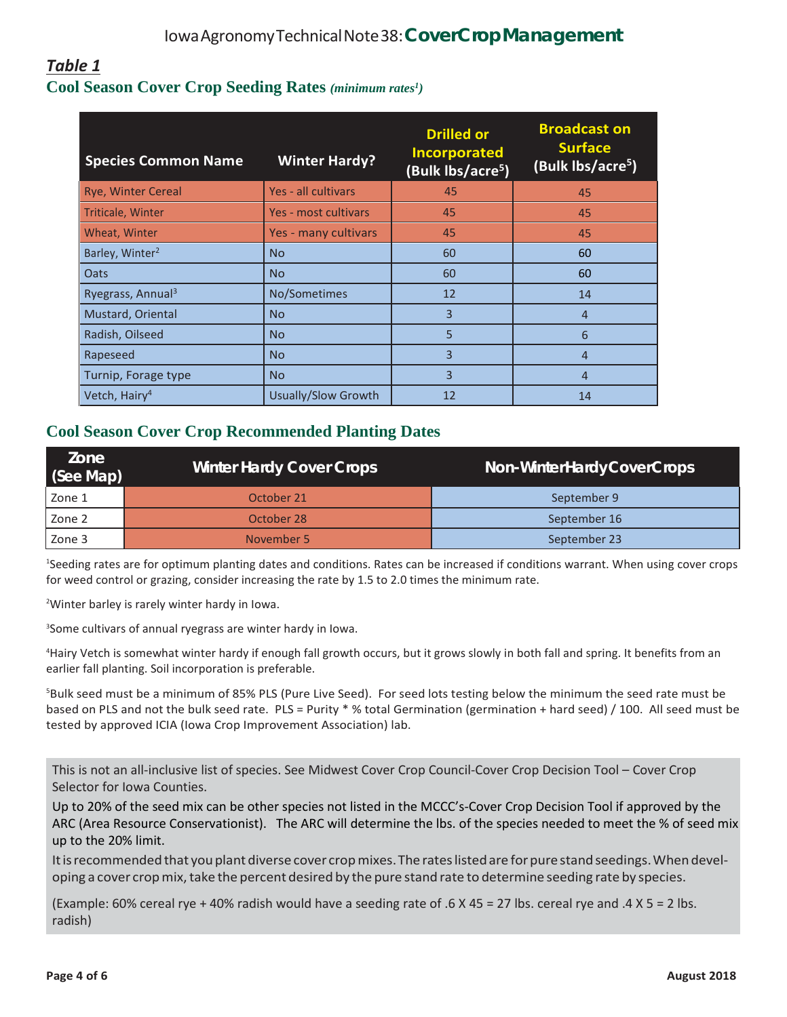# *Table 1* **Cool Season Cover Crop Seeding Rates** *(minimum rates1 )*

| <b>Species Common Name</b>    | <b>Winter Hardy?</b> | <b>Drilled or</b><br><b>Incorporated</b><br>(Bulk lbs/acre <sup>5</sup> ) | <b>Broadcast on</b><br><b>Surface</b><br>(Bulk lbs/acre <sup>5</sup> ) |
|-------------------------------|----------------------|---------------------------------------------------------------------------|------------------------------------------------------------------------|
| <b>Rye, Winter Cereal</b>     | Yes - all cultivars  | 45                                                                        | 45                                                                     |
| Triticale, Winter             | Yes - most cultivars | 45                                                                        | 45                                                                     |
| Wheat, Winter                 | Yes - many cultivars | 45                                                                        | 45                                                                     |
| Barley, Winter <sup>2</sup>   | <b>No</b>            | 60                                                                        | 60                                                                     |
| Oats                          | <b>No</b>            | 60                                                                        | 60                                                                     |
| Ryegrass, Annual <sup>3</sup> | No/Sometimes         | 12                                                                        | 14                                                                     |
| Mustard, Oriental             | <b>No</b>            | 3                                                                         | $\overline{4}$                                                         |
| Radish, Oilseed               | <b>No</b>            | 5                                                                         | 6                                                                      |
| Rapeseed                      | <b>No</b>            | 3                                                                         | $\overline{4}$                                                         |
| Turnip, Forage type           | <b>No</b>            | 3                                                                         | 4                                                                      |
| Vetch, Hairy <sup>4</sup>     | Usually/Slow Growth  | 12                                                                        | 14                                                                     |

### **Cool Season Cover Crop Recommended Planting Dates**

| Zone<br>(See Map) | <b>Winter Hardy Cover Crops</b> | Non-WinterHardyCoverCrops |
|-------------------|---------------------------------|---------------------------|
| Zone 1            | October 21                      | September 9               |
| Zone 2            | October 28                      | September 16              |
| Zone 3            | November 5                      | September 23              |

1 Seeding rates are for optimum planting dates and conditions. Rates can be increased if conditions warrant. When using cover crops for weed control or grazing, consider increasing the rate by 1.5 to 2.0 times the minimum rate.

<sup>2</sup>Winter barley is rarely winter hardy in Iowa.

3 Some cultivars of annual ryegrass are winter hardy in Iowa.

4 Hairy Vetch is somewhat winter hardy if enough fall growth occurs, but it grows slowly in both fall and spring. It benefits from an earlier fall planting. Soil incorporation is preferable.

5 Bulk seed must be a minimum of 85% PLS (Pure Live Seed). For seed lots testing below the minimum the seed rate must be based on PLS and not the bulk seed rate. PLS = Purity \* % total Germination (germination + hard seed) / 100. All seed must be tested by approved ICIA (Iowa Crop Improvement Association) lab.

This is not an all-inclusive list of species. See Midwest Cover Crop Council-Cover Crop Decision Tool – Cover Crop Selector for Iowa Counties.

Up to 20% of the seed mix can be other species not listed in the MCCC's-Cover Crop Decision Tool if approved by the ARC (Area Resource Conservationist). The ARC will determine the lbs. of the species needed to meet the % of seed mix up to the 20% limit.

Itisrecommendedthat youplant diverse cover cropmixes.The rateslistedare forpure standseedings.When developing a cover cropmix,take the percent desired by the pure stand rate to determine seeding rate by species.

(Example: 60% cereal rye + 40% radish would have a seeding rate of .6 X 45 = 27 lbs. cereal rye and .4 X 5 = 2 lbs. radish)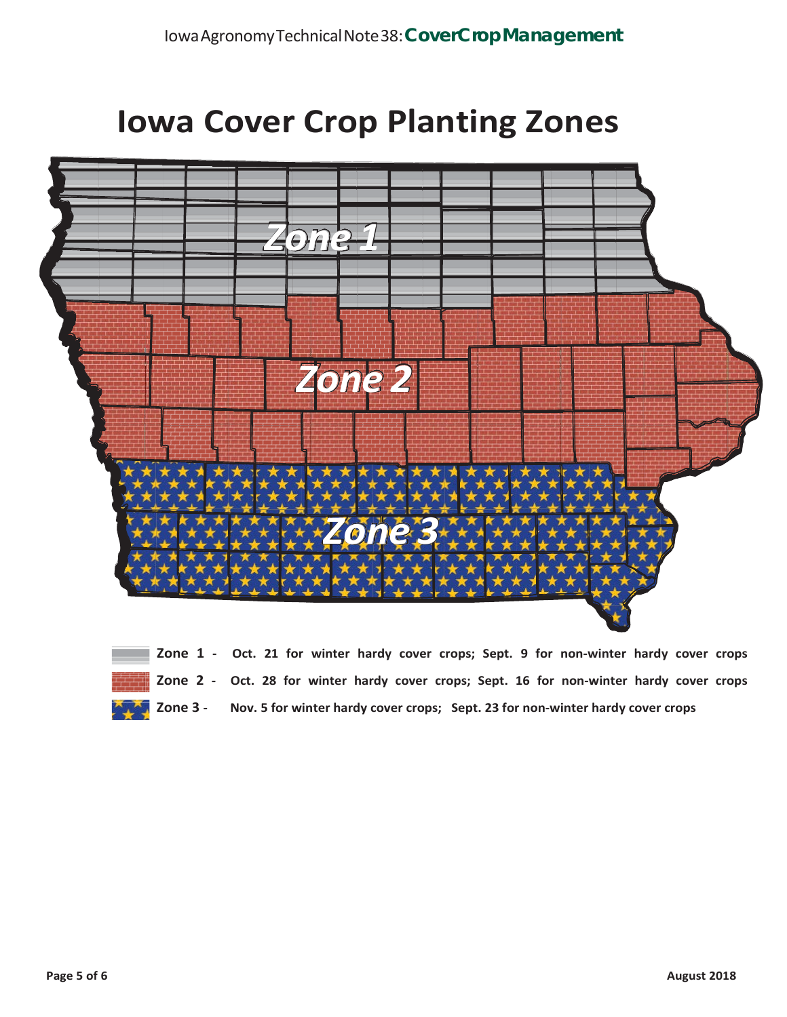# **Iowa Cover Crop Planting Zones**



|  |  |  |  |  |  | Zone 1 - Oct. 21 for winter hardy cover crops; Sept. 9 for non-winter hardy cover crops                |  |  |
|--|--|--|--|--|--|--------------------------------------------------------------------------------------------------------|--|--|
|  |  |  |  |  |  | Zone 2 - Oct. 28 for winter hardy cover crops; Sept. 16 for non-winter hardy cover crops               |  |  |
|  |  |  |  |  |  | <b>EXAMPLE 2018 3 - Nov. 5 for winter hardy cover crops; Sept. 23 for non-winter hardy cover crops</b> |  |  |